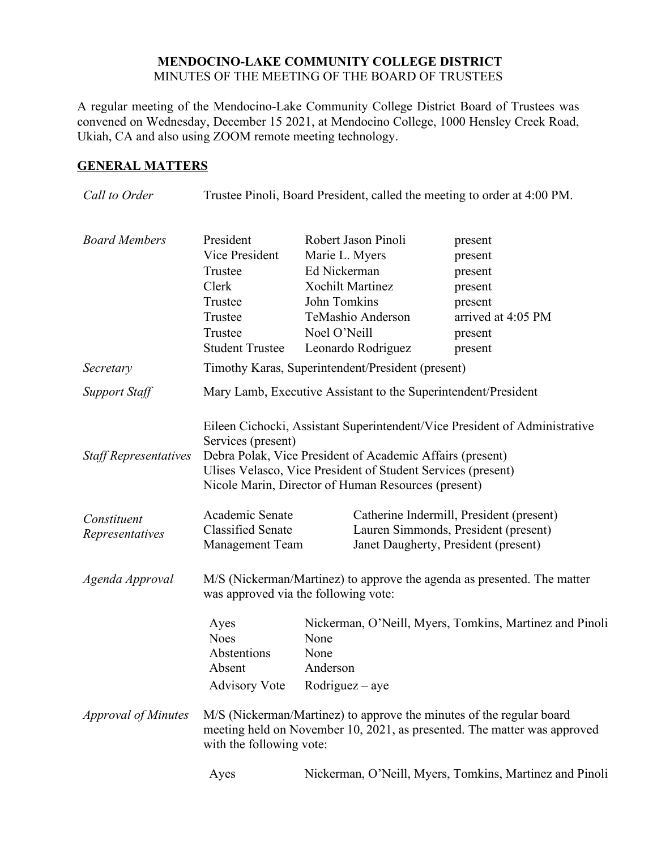## **MENDOCINO-LAKE COMMUNITY COLLEGE DISTRICT** MINUTES OF THE MEETING OF THE BOARD OF TRUSTEES

A regular meeting of the Mendocino-Lake Community College District Board of Trustees was convened on Wednesday, December 15 2021, at Mendocino College, 1000 Hensley Creek Road, Ukiah, CA and also using ZOOM remote meeting technology.

# **GENERAL MATTERS**

| Call to Order                  | Trustee Pinoli, Board President, called the meeting to order at 4:00 PM.                                                                                                                                                                                                             |                                                                                                                                                             |                                                                                                 |
|--------------------------------|--------------------------------------------------------------------------------------------------------------------------------------------------------------------------------------------------------------------------------------------------------------------------------------|-------------------------------------------------------------------------------------------------------------------------------------------------------------|-------------------------------------------------------------------------------------------------|
| <b>Board Members</b>           | President<br>Vice President<br>Trustee<br>Clerk<br>Trustee<br>Trustee<br>Trustee<br><b>Student Trustee</b>                                                                                                                                                                           | Robert Jason Pinoli<br>Marie L. Myers<br>Ed Nickerman<br><b>Xochilt Martinez</b><br>John Tomkins<br>TeMashio Anderson<br>Noel O'Neill<br>Leonardo Rodriguez | present<br>present<br>present<br>present<br>present<br>arrived at 4:05 PM<br>present<br>present |
| Secretary                      | Timothy Karas, Superintendent/President (present)                                                                                                                                                                                                                                    |                                                                                                                                                             |                                                                                                 |
| <b>Support Staff</b>           | Mary Lamb, Executive Assistant to the Superintendent/President                                                                                                                                                                                                                       |                                                                                                                                                             |                                                                                                 |
| <b>Staff Representatives</b>   | Eileen Cichocki, Assistant Superintendent/Vice President of Administrative<br>Services (present)<br>Debra Polak, Vice President of Academic Affairs (present)<br>Ulises Velasco, Vice President of Student Services (present)<br>Nicole Marin, Director of Human Resources (present) |                                                                                                                                                             |                                                                                                 |
| Constituent<br>Representatives | Academic Senate<br><b>Classified Senate</b><br><b>Management Team</b>                                                                                                                                                                                                                | Janet Daugherty, President (present)                                                                                                                        | Catherine Indermill, President (present)<br>Lauren Simmonds, President (present)                |
| Agenda Approval                | M/S (Nickerman/Martinez) to approve the agenda as presented. The matter<br>was approved via the following vote:                                                                                                                                                                      |                                                                                                                                                             |                                                                                                 |
|                                | Ayes<br><b>Noes</b><br>Abstentions<br>Absent<br><b>Advisory Vote</b>                                                                                                                                                                                                                 | None<br>None<br>Anderson<br>$Rodriguez - aye$                                                                                                               | Nickerman, O'Neill, Myers, Tomkins, Martinez and Pinoli                                         |
| <b>Approval of Minutes</b>     | with the following vote:                                                                                                                                                                                                                                                             | M/S (Nickerman/Martinez) to approve the minutes of the regular board                                                                                        | meeting held on November 10, 2021, as presented. The matter was approved                        |
|                                | Ayes                                                                                                                                                                                                                                                                                 |                                                                                                                                                             | Nickerman, O'Neill, Myers, Tomkins, Martinez and Pinoli                                         |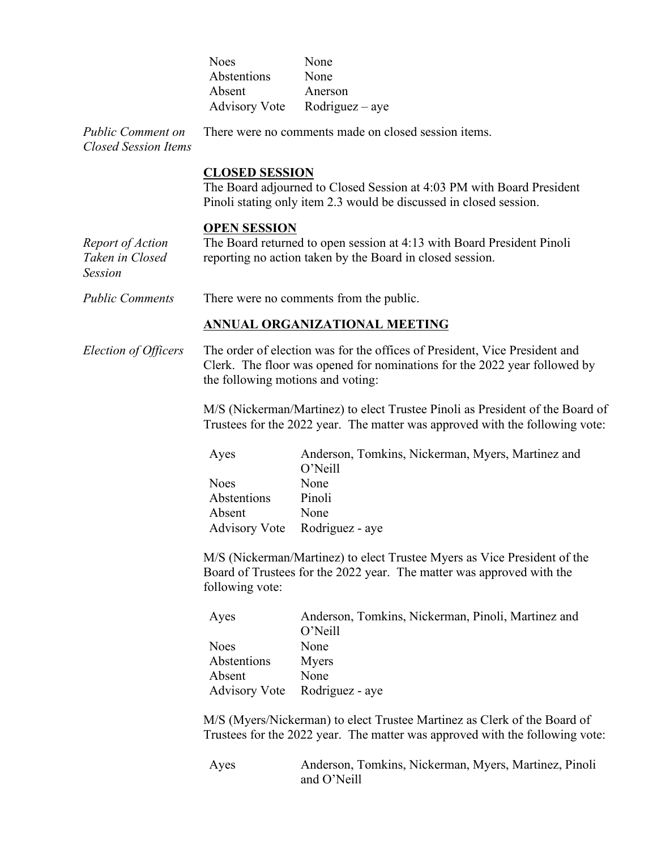| <b>Noes</b>          | None              |
|----------------------|-------------------|
| Abstentions          | None              |
| Absent               | Anerson           |
| <b>Advisory Vote</b> | $Rodriguez - aye$ |

*Public Comment on Closed Session Items* There were no comments made on closed session items.

#### **CLOSED SESSION**

The Board adjourned to Closed Session at 4:03 PM with Board President Pinoli stating only item 2.3 would be discussed in closed session.

#### **OPEN SESSION**

*Report of Action Taken in Closed Session* The Board returned to open session at 4:13 with Board President Pinoli reporting no action taken by the Board in closed session.

*Public Comments* There were no comments from the public.

#### **ANNUAL ORGANIZATIONAL MEETING**

*Election of Officers* The order of election was for the offices of President, Vice President and Clerk. The floor was opened for nominations for the 2022 year followed by the following motions and voting:

> M/S (Nickerman/Martinez) to elect Trustee Pinoli as President of the Board of Trustees for the 2022 year. The matter was approved with the following vote:

| Ayes                          | Anderson, Tomkins, Nickerman, Myers, Martinez and |
|-------------------------------|---------------------------------------------------|
|                               | O'Neill                                           |
| Noes                          | None                                              |
| Abstentions                   | Pinoli                                            |
| Absent                        | None                                              |
| Advisory Vote Rodriguez - aye |                                                   |

M/S (Nickerman/Martinez) to elect Trustee Myers as Vice President of the Board of Trustees for the 2022 year. The matter was approved with the following vote:

| Ayes        | Anderson, Tomkins, Nickerman, Pinoli, Martinez and |
|-------------|----------------------------------------------------|
|             | O'Neill                                            |
| <b>Noes</b> | None                                               |
| Abstentions | Myers                                              |
| Absent      | None                                               |
|             | Advisory Vote Rodriguez - aye                      |

M/S (Myers/Nickerman) to elect Trustee Martinez as Clerk of the Board of Trustees for the 2022 year. The matter was approved with the following vote:

Ayes Anderson, Tomkins, Nickerman, Myers, Martinez, Pinoli and O'Neill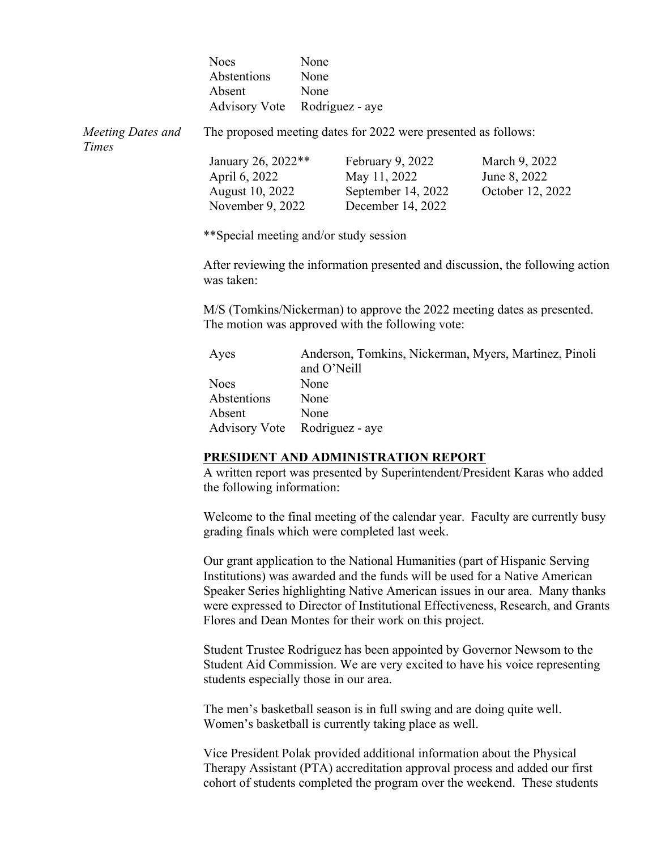|                            | <b>Noes</b><br>Abstentions<br>Absent<br><b>Advisory Vote</b>                                 | None<br>None<br>None | Rodriguez - aye                                                             |                                                                            |
|----------------------------|----------------------------------------------------------------------------------------------|----------------------|-----------------------------------------------------------------------------|----------------------------------------------------------------------------|
| Meeting Dates and<br>Times |                                                                                              |                      | The proposed meeting dates for 2022 were presented as follows:              |                                                                            |
|                            | January 26, 2022**<br>April 6, 2022<br>August 10, 2022<br>November 9, 2022                   |                      | February 9, 2022<br>May 11, 2022<br>September 14, 2022<br>December 14, 2022 | March 9, 2022<br>June 8, 2022<br>October 12, 2022                          |
|                            | **Special meeting and/or study session                                                       |                      |                                                                             |                                                                            |
|                            | After reviewing the information presented and discussion, the following action<br>was taken: |                      |                                                                             |                                                                            |
|                            |                                                                                              |                      | The motion was approved with the following vote:                            | M/S (Tomkins/Nickerman) to approve the 2022 meeting dates as presented.    |
|                            | Ayes                                                                                         | and O'Neill          |                                                                             | Anderson, Tomkins, Nickerman, Myers, Martinez, Pinoli                      |
|                            | <b>Noes</b>                                                                                  | None                 |                                                                             |                                                                            |
|                            | Abstentions                                                                                  | None                 |                                                                             |                                                                            |
|                            | Absent                                                                                       | None                 |                                                                             |                                                                            |
|                            | <b>Advisory Vote</b>                                                                         |                      | Rodriguez - aye                                                             |                                                                            |
|                            |                                                                                              |                      | PRESIDENT AND ADMINISTRATION REPORT                                         |                                                                            |
|                            |                                                                                              |                      |                                                                             | A written report was presented by Superintendent/President Karas who added |

the following information:

Welcome to the final meeting of the calendar year. Faculty are currently busy grading finals which were completed last week.

Our grant application to the National Humanities (part of Hispanic Serving Institutions) was awarded and the funds will be used for a Native American Speaker Series highlighting Native American issues in our area. Many thanks were expressed to Director of Institutional Effectiveness, Research, and Grants Flores and Dean Montes for their work on this project.

Student Trustee Rodriguez has been appointed by Governor Newsom to the Student Aid Commission. We are very excited to have his voice representing students especially those in our area.

The men's basketball season is in full swing and are doing quite well. Women's basketball is currently taking place as well.

Vice President Polak provided additional information about the Physical Therapy Assistant (PTA) accreditation approval process and added our first cohort of students completed the program over the weekend. These students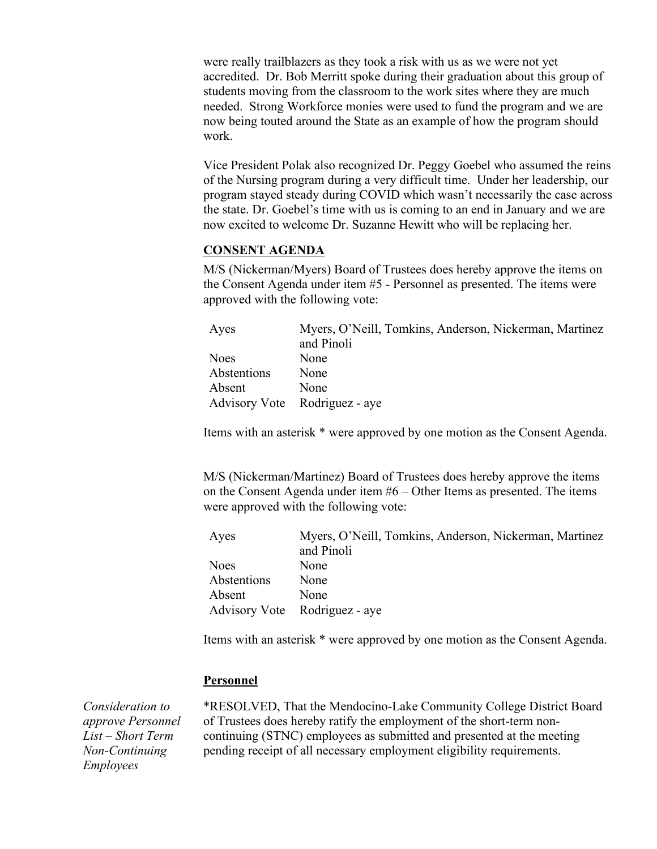were really trailblazers as they took a risk with us as we were not yet accredited. Dr. Bob Merritt spoke during their graduation about this group of students moving from the classroom to the work sites where they are much needed. Strong Workforce monies were used to fund the program and we are now being touted around the State as an example of how the program should work.

Vice President Polak also recognized Dr. Peggy Goebel who assumed the reins of the Nursing program during a very difficult time. Under her leadership, our program stayed steady during COVID which wasn't necessarily the case across the state. Dr. Goebel's time with us is coming to an end in January and we are now excited to welcome Dr. Suzanne Hewitt who will be replacing her.

## **CONSENT AGENDA**

M/S (Nickerman/Myers) Board of Trustees does hereby approve the items on the Consent Agenda under item #5 - Personnel as presented. The items were approved with the following vote:

| Ayes                          | Myers, O'Neill, Tomkins, Anderson, Nickerman, Martinez |
|-------------------------------|--------------------------------------------------------|
|                               | and Pinoli                                             |
| <b>Noes</b>                   | None                                                   |
| Abstentions                   | None                                                   |
| Absent                        | None                                                   |
| Advisory Vote Rodriguez - aye |                                                        |

Items with an asterisk \* were approved by one motion as the Consent Agenda.

M/S (Nickerman/Martinez) Board of Trustees does hereby approve the items on the Consent Agenda under item #6 – Other Items as presented. The items were approved with the following vote:

| Ayes        | Myers, O'Neill, Tomkins, Anderson, Nickerman, Martinez |
|-------------|--------------------------------------------------------|
|             | and Pinoli                                             |
| <b>Noes</b> | None                                                   |
| Abstentions | None                                                   |
| Absent      | None                                                   |
|             | Advisory Vote Rodriguez - aye                          |

Items with an asterisk \* were approved by one motion as the Consent Agenda.

#### **Personnel**

*Consideration to approve Personnel List – Short Term Non-Continuing Employees*

\*RESOLVED, That the Mendocino-Lake Community College District Board of Trustees does hereby ratify the employment of the short-term noncontinuing (STNC) employees as submitted and presented at the meeting pending receipt of all necessary employment eligibility requirements.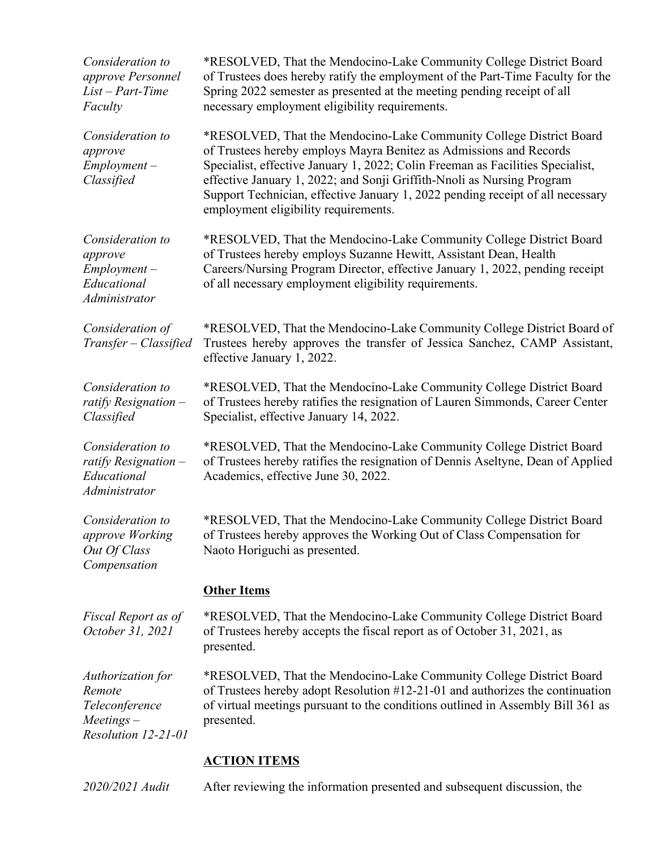| Consideration to<br>approve Personnel<br>$List - Part-Time$<br>Faculty               | *RESOLVED, That the Mendocino-Lake Community College District Board<br>of Trustees does hereby ratify the employment of the Part-Time Faculty for the<br>Spring 2022 semester as presented at the meeting pending receipt of all<br>necessary employment eligibility requirements.                                                                                                                                              |
|--------------------------------------------------------------------------------------|---------------------------------------------------------------------------------------------------------------------------------------------------------------------------------------------------------------------------------------------------------------------------------------------------------------------------------------------------------------------------------------------------------------------------------|
| Consideration to<br>approve<br>$Employment -$<br>Classified                          | *RESOLVED, That the Mendocino-Lake Community College District Board<br>of Trustees hereby employs Mayra Benitez as Admissions and Records<br>Specialist, effective January 1, 2022; Colin Freeman as Facilities Specialist,<br>effective January 1, 2022; and Sonji Griffith-Nnoli as Nursing Program<br>Support Technician, effective January 1, 2022 pending receipt of all necessary<br>employment eligibility requirements. |
| Consideration to<br>approve<br>$Employment -$<br>Educational<br><i>Administrator</i> | *RESOLVED, That the Mendocino-Lake Community College District Board<br>of Trustees hereby employs Suzanne Hewitt, Assistant Dean, Health<br>Careers/Nursing Program Director, effective January 1, 2022, pending receipt<br>of all necessary employment eligibility requirements.                                                                                                                                               |
| Consideration of<br>Transfer - Classified                                            | *RESOLVED, That the Mendocino-Lake Community College District Board of<br>Trustees hereby approves the transfer of Jessica Sanchez, CAMP Assistant,<br>effective January 1, 2022.                                                                                                                                                                                                                                               |
| Consideration to<br>ratify Resignation $-$<br>Classified                             | *RESOLVED, That the Mendocino-Lake Community College District Board<br>of Trustees hereby ratifies the resignation of Lauren Simmonds, Career Center<br>Specialist, effective January 14, 2022.                                                                                                                                                                                                                                 |
| Consideration to<br>ratify Resignation $-$<br>Educational<br>Administrator           | *RESOLVED, That the Mendocino-Lake Community College District Board<br>of Trustees hereby ratifies the resignation of Dennis Aseltyne, Dean of Applied<br>Academics, effective June 30, 2022.                                                                                                                                                                                                                                   |
| Consideration to<br>approve Working<br>Out Of Class<br>Compensation                  | *RESOLVED, That the Mendocino-Lake Community College District Board<br>of Trustees hereby approves the Working Out of Class Compensation for<br>Naoto Horiguchi as presented.                                                                                                                                                                                                                                                   |
|                                                                                      | <b>Other Items</b>                                                                                                                                                                                                                                                                                                                                                                                                              |
| Fiscal Report as of<br>October 31, 2021                                              | *RESOLVED, That the Mendocino-Lake Community College District Board<br>of Trustees hereby accepts the fiscal report as of October 31, 2021, as<br>presented.                                                                                                                                                                                                                                                                    |
| Authorization for<br>Remote<br>Teleconference<br>$Meetings -$<br>Resolution 12-21-01 | *RESOLVED, That the Mendocino-Lake Community College District Board<br>of Trustees hereby adopt Resolution #12-21-01 and authorizes the continuation<br>of virtual meetings pursuant to the conditions outlined in Assembly Bill 361 as<br>presented.                                                                                                                                                                           |

# **ACTION ITEMS**

*2020/2021 Audit* After reviewing the information presented and subsequent discussion, the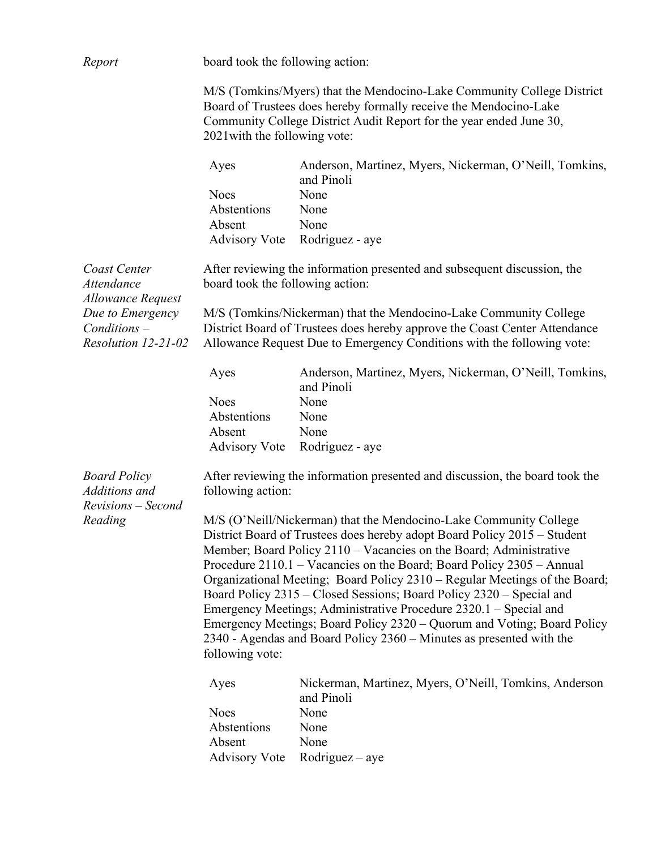| Report                                                     | board took the following action:                                                                                                                                                                                                                                                                                                                                                                                                                                                                                                                                                                                                                                                                |                                                                                                                                                                                                                           |  |
|------------------------------------------------------------|-------------------------------------------------------------------------------------------------------------------------------------------------------------------------------------------------------------------------------------------------------------------------------------------------------------------------------------------------------------------------------------------------------------------------------------------------------------------------------------------------------------------------------------------------------------------------------------------------------------------------------------------------------------------------------------------------|---------------------------------------------------------------------------------------------------------------------------------------------------------------------------------------------------------------------------|--|
|                                                            | M/S (Tomkins/Myers) that the Mendocino-Lake Community College District<br>Board of Trustees does hereby formally receive the Mendocino-Lake<br>Community College District Audit Report for the year ended June 30,<br>2021 with the following vote:                                                                                                                                                                                                                                                                                                                                                                                                                                             |                                                                                                                                                                                                                           |  |
|                                                            | Ayes<br><b>Noes</b><br>Abstentions<br>Absent                                                                                                                                                                                                                                                                                                                                                                                                                                                                                                                                                                                                                                                    | Anderson, Martinez, Myers, Nickerman, O'Neill, Tomkins,<br>and Pinoli<br>None<br>None<br>None                                                                                                                             |  |
|                                                            | <b>Advisory Vote</b>                                                                                                                                                                                                                                                                                                                                                                                                                                                                                                                                                                                                                                                                            | Rodriguez - aye                                                                                                                                                                                                           |  |
| Coast Center<br>Attendance<br><b>Allowance Request</b>     | board took the following action:                                                                                                                                                                                                                                                                                                                                                                                                                                                                                                                                                                                                                                                                | After reviewing the information presented and subsequent discussion, the                                                                                                                                                  |  |
| Due to Emergency<br>$Conditions -$<br>Resolution 12-21-02  |                                                                                                                                                                                                                                                                                                                                                                                                                                                                                                                                                                                                                                                                                                 | M/S (Tomkins/Nickerman) that the Mendocino-Lake Community College<br>District Board of Trustees does hereby approve the Coast Center Attendance<br>Allowance Request Due to Emergency Conditions with the following vote: |  |
|                                                            | Ayes                                                                                                                                                                                                                                                                                                                                                                                                                                                                                                                                                                                                                                                                                            | Anderson, Martinez, Myers, Nickerman, O'Neill, Tomkins,<br>and Pinoli                                                                                                                                                     |  |
|                                                            | <b>Noes</b><br>Abstentions<br>Absent<br><b>Advisory Vote</b>                                                                                                                                                                                                                                                                                                                                                                                                                                                                                                                                                                                                                                    | None<br>None<br>None<br>Rodriguez - aye                                                                                                                                                                                   |  |
| <b>Board Policy</b><br>Additions and<br>Revisions - Second | following action:                                                                                                                                                                                                                                                                                                                                                                                                                                                                                                                                                                                                                                                                               | After reviewing the information presented and discussion, the board took the                                                                                                                                              |  |
| Reading                                                    | M/S (O'Neill/Nickerman) that the Mendocino-Lake Community College<br>District Board of Trustees does hereby adopt Board Policy 2015 – Student<br>Member; Board Policy 2110 – Vacancies on the Board; Administrative<br>Procedure 2110.1 – Vacancies on the Board; Board Policy 2305 – Annual<br>Organizational Meeting; Board Policy 2310 – Regular Meetings of the Board;<br>Board Policy 2315 – Closed Sessions; Board Policy 2320 – Special and<br>Emergency Meetings; Administrative Procedure 2320.1 - Special and<br>Emergency Meetings; Board Policy 2320 – Quorum and Voting; Board Policy<br>2340 - Agendas and Board Policy $2360$ – Minutes as presented with the<br>following vote: |                                                                                                                                                                                                                           |  |
|                                                            | Ayes                                                                                                                                                                                                                                                                                                                                                                                                                                                                                                                                                                                                                                                                                            | Nickerman, Martinez, Myers, O'Neill, Tomkins, Anderson<br>and Pinoli                                                                                                                                                      |  |
|                                                            | <b>Noes</b><br>Abstentions<br>Absent<br><b>Advisory Vote</b>                                                                                                                                                                                                                                                                                                                                                                                                                                                                                                                                                                                                                                    | None<br>None<br>None<br>$Rodriguez - aye$                                                                                                                                                                                 |  |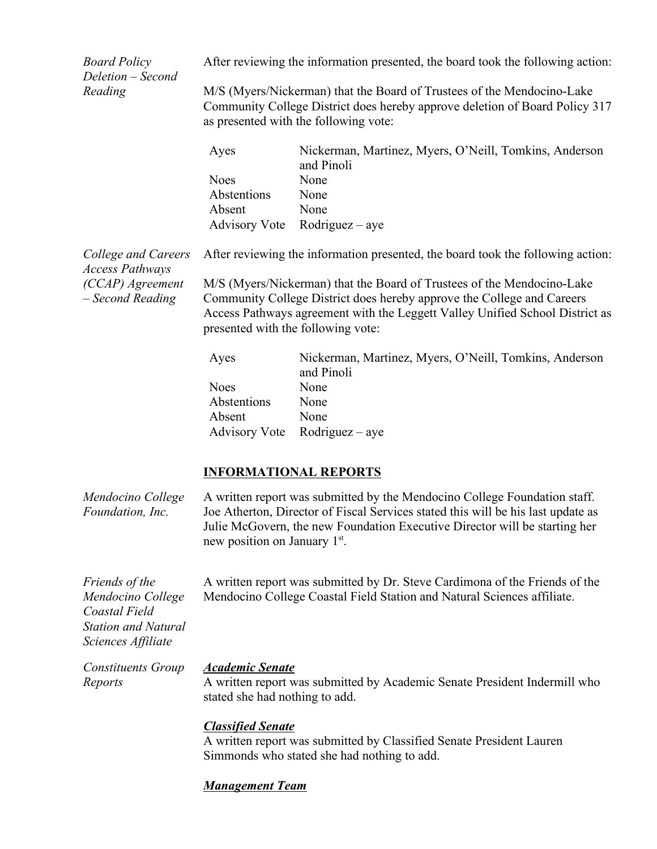*Board Policy Deletion – Second Reading*

After reviewing the information presented, the board took the following action:

M/S (Myers/Nickerman) that the Board of Trustees of the Mendocino-Lake Community College District does hereby approve deletion of Board Policy 317 as presented with the following vote:

| Ayes        | Nickerman, Martinez, Myers, O'Neill, Tomkins, Anderson |
|-------------|--------------------------------------------------------|
|             | and Pinoli                                             |
| <b>Noes</b> | None                                                   |
| Abstentions | None                                                   |
| Absent      | None                                                   |
|             | Advisory Vote Rodriguez – aye                          |

*College and Careers Access Pathways (CCAP) Agreement – Second Reading*

After reviewing the information presented, the board took the following action:

M/S (Myers/Nickerman) that the Board of Trustees of the Mendocino-Lake Community College District does hereby approve the College and Careers Access Pathways agreement with the Leggett Valley Unified School District as presented with the following vote:

| Ayes        | Nickerman, Martinez, Myers, O'Neill, Tomkins, Anderson |
|-------------|--------------------------------------------------------|
|             | and Pinoli                                             |
| Noes        | None                                                   |
| Abstentions | None                                                   |
| Absent      | None                                                   |
|             | Advisory Vote Rodriguez – aye                          |

## **INFORMATIONAL REPORTS**

| Mendocino College<br>Foundation, Inc.                                                                    | A written report was submitted by the Mendocino College Foundation staff.<br>Joe Atherton, Director of Fiscal Services stated this will be his last update as<br>Julie McGovern, the new Foundation Executive Director will be starting her<br>new position on January 1 <sup>st</sup> . |
|----------------------------------------------------------------------------------------------------------|------------------------------------------------------------------------------------------------------------------------------------------------------------------------------------------------------------------------------------------------------------------------------------------|
| Friends of the<br>Mendocino College<br>Coastal Field<br><b>Station and Natural</b><br>Sciences Affiliate | A written report was submitted by Dr. Steve Cardimona of the Friends of the<br>Mendocino College Coastal Field Station and Natural Sciences affiliate.                                                                                                                                   |
| <b>Constituents Group</b><br>Reports                                                                     | <b>Academic Senate</b><br>A written report was submitted by Academic Senate President Indermill who<br>stated she had nothing to add.                                                                                                                                                    |
|                                                                                                          | <b>Classified Senate</b><br>A written report was submitted by Classified Senate President Lauren<br>Simmonds who stated she had nothing to add.                                                                                                                                          |

# *Management Team*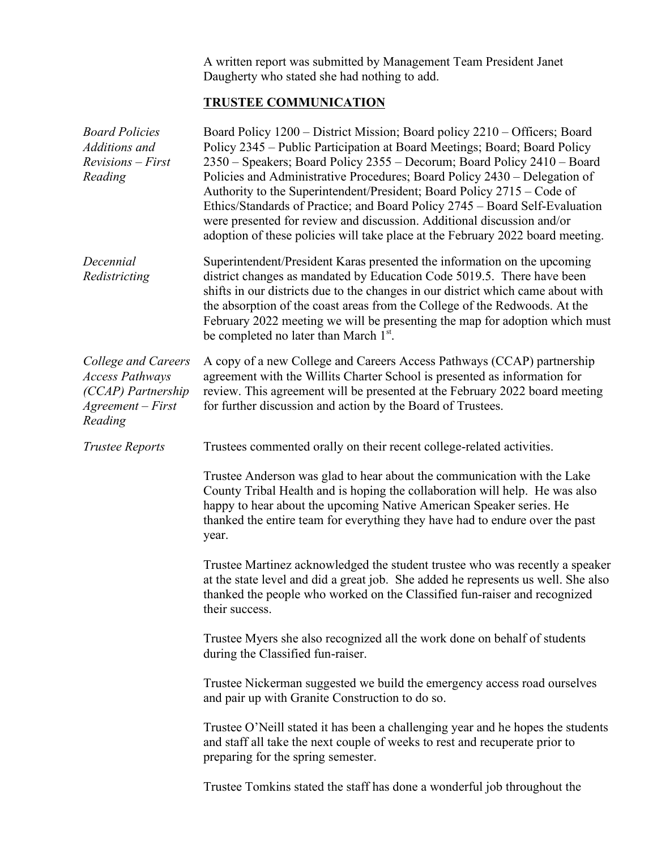A written report was submitted by Management Team President Janet Daugherty who stated she had nothing to add.

# **TRUSTEE COMMUNICATION**

| <b>Board Policies</b><br>Additions and<br>$Revisions - First$<br>Reading                            | Board Policy 1200 – District Mission; Board policy 2210 – Officers; Board<br>Policy 2345 – Public Participation at Board Meetings; Board; Board Policy<br>2350 – Speakers; Board Policy 2355 – Decorum; Board Policy 2410 – Board<br>Policies and Administrative Procedures; Board Policy 2430 – Delegation of<br>Authority to the Superintendent/President; Board Policy 2715 – Code of<br>Ethics/Standards of Practice; and Board Policy 2745 - Board Self-Evaluation<br>were presented for review and discussion. Additional discussion and/or<br>adoption of these policies will take place at the February 2022 board meeting. |
|-----------------------------------------------------------------------------------------------------|-------------------------------------------------------------------------------------------------------------------------------------------------------------------------------------------------------------------------------------------------------------------------------------------------------------------------------------------------------------------------------------------------------------------------------------------------------------------------------------------------------------------------------------------------------------------------------------------------------------------------------------|
| Decennial<br>Redistricting                                                                          | Superintendent/President Karas presented the information on the upcoming<br>district changes as mandated by Education Code 5019.5. There have been<br>shifts in our districts due to the changes in our district which came about with<br>the absorption of the coast areas from the College of the Redwoods. At the<br>February 2022 meeting we will be presenting the map for adoption which must<br>be completed no later than March 1 <sup>st</sup> .                                                                                                                                                                           |
| College and Careers<br><b>Access Pathways</b><br>(CCAP) Partnership<br>$Agreement-First$<br>Reading | A copy of a new College and Careers Access Pathways (CCAP) partnership<br>agreement with the Willits Charter School is presented as information for<br>review. This agreement will be presented at the February 2022 board meeting<br>for further discussion and action by the Board of Trustees.                                                                                                                                                                                                                                                                                                                                   |
| <b>Trustee Reports</b>                                                                              | Trustees commented orally on their recent college-related activities.                                                                                                                                                                                                                                                                                                                                                                                                                                                                                                                                                               |
|                                                                                                     | Trustee Anderson was glad to hear about the communication with the Lake<br>County Tribal Health and is hoping the collaboration will help. He was also<br>happy to hear about the upcoming Native American Speaker series. He<br>thanked the entire team for everything they have had to endure over the past<br>year.                                                                                                                                                                                                                                                                                                              |
|                                                                                                     | Trustee Martinez acknowledged the student trustee who was recently a speaker<br>at the state level and did a great job. She added he represents us well. She also<br>thanked the people who worked on the Classified fun-raiser and recognized<br>their success.                                                                                                                                                                                                                                                                                                                                                                    |
|                                                                                                     | Trustee Myers she also recognized all the work done on behalf of students<br>during the Classified fun-raiser.                                                                                                                                                                                                                                                                                                                                                                                                                                                                                                                      |
|                                                                                                     | Trustee Nickerman suggested we build the emergency access road ourselves<br>and pair up with Granite Construction to do so.                                                                                                                                                                                                                                                                                                                                                                                                                                                                                                         |
|                                                                                                     | Trustee O'Neill stated it has been a challenging year and he hopes the students<br>and staff all take the next couple of weeks to rest and recuperate prior to<br>preparing for the spring semester.                                                                                                                                                                                                                                                                                                                                                                                                                                |
|                                                                                                     | Trustee Tomkins stated the staff has done a wonderful job throughout the                                                                                                                                                                                                                                                                                                                                                                                                                                                                                                                                                            |